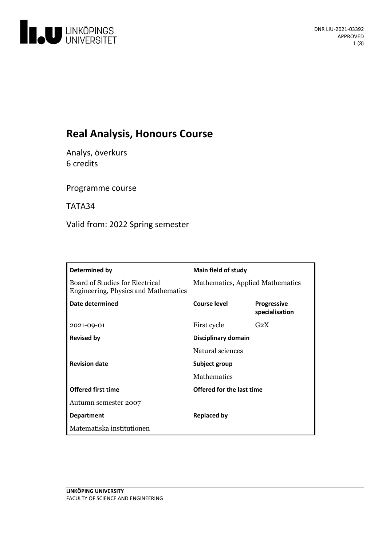

# **Real Analysis, Honours Course**

Analys, överkurs 6 credits

Programme course

TATA34

Valid from: 2022 Spring semester

| Determined by                                                           | <b>Main field of study</b>       |                                      |
|-------------------------------------------------------------------------|----------------------------------|--------------------------------------|
| Board of Studies for Electrical<br>Engineering, Physics and Mathematics | Mathematics, Applied Mathematics |                                      |
| Date determined                                                         | Course level                     | <b>Progressive</b><br>specialisation |
| 2021-09-01                                                              | First cycle                      | G <sub>2</sub> X                     |
| <b>Revised by</b>                                                       | Disciplinary domain              |                                      |
|                                                                         | Natural sciences                 |                                      |
| <b>Revision date</b>                                                    | Subject group                    |                                      |
|                                                                         | <b>Mathematics</b>               |                                      |
| <b>Offered first time</b>                                               | Offered for the last time        |                                      |
| Autumn semester 2007                                                    |                                  |                                      |
| <b>Department</b>                                                       | <b>Replaced by</b>               |                                      |
| Matematiska institutionen                                               |                                  |                                      |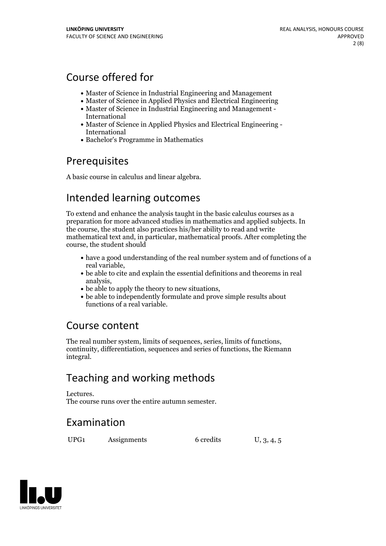# Course offered for

- Master of Science in Industrial Engineering and Management
- Master of Science in Applied Physics and Electrical Engineering
- Master of Science in Industrial Engineering and Management International
- Master of Science in Applied Physics and Electrical Engineering International
- Bachelor's Programme in Mathematics

# Prerequisites

A basic course in calculus and linear algebra.

# Intended learning outcomes

To extend and enhance the analysis taught in the basic calculus courses as a preparation for more advanced studies in mathematics and applied subjects. In the course, the student also practices his/her ability to read and write mathematical text and, in particular, mathematical proofs. After completing the course, the student should

- have a good understanding of the real number system and of functions of a
- real variable,<br>• be able to cite and explain the essential definitions and theorems in real<br>analysis.
- 
- $\bullet$  be able to apply the theory to new situations,<br> $\bullet$  be able to independently formulate and prove simple results about functions of a real variable.

# Course content

The real number system, limits of sequences, series, limits of functions, continuity, differentiation, sequences and series of functions, the Riemann integral.

# Teaching and working methods

Lectures. The course runs over the entire autumn semester.

# Examination

UPG1 Assignments 6 credits U, 3, 4, 5

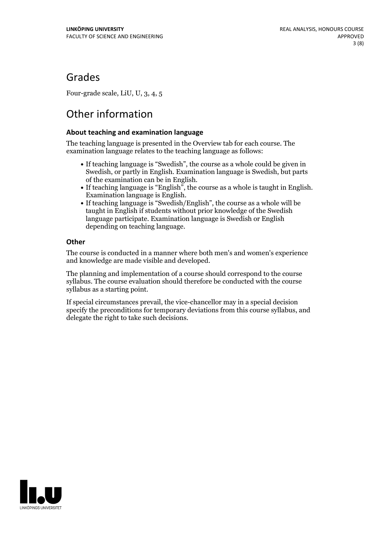# Grades

Four-grade scale, LiU, U, 3, 4, 5

# Other information

### **About teaching and examination language**

The teaching language is presented in the Overview tab for each course. The examination language relates to the teaching language as follows:

- If teaching language is "Swedish", the course as a whole could be given in Swedish, or partly in English. Examination language is Swedish, but parts
- of the examination can be in English. If teaching language is "English", the course as <sup>a</sup> whole is taught in English. Examination language is English. If teaching language is "Swedish/English", the course as <sup>a</sup> whole will be
- taught in English if students without prior knowledge of the Swedish language participate. Examination language is Swedish or English depending on teaching language.

### **Other**

The course is conducted in a manner where both men's and women's experience and knowledge are made visible and developed.

The planning and implementation of a course should correspond to the course syllabus. The course evaluation should therefore be conducted with the course syllabus as a starting point.

If special circumstances prevail, the vice-chancellor may in a special decision specify the preconditions for temporary deviations from this course syllabus, and delegate the right to take such decisions.

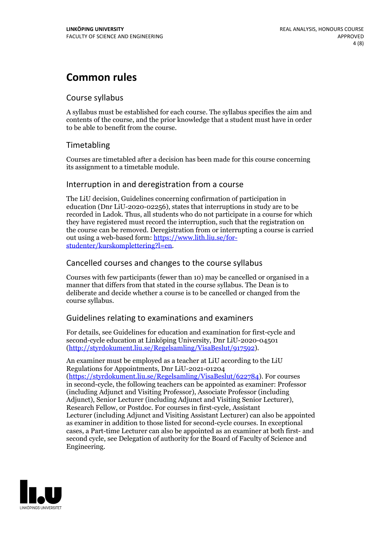# **Common rules**

### Course syllabus

A syllabus must be established for each course. The syllabus specifies the aim and contents of the course, and the prior knowledge that a student must have in order to be able to benefit from the course.

## Timetabling

Courses are timetabled after a decision has been made for this course concerning its assignment to a timetable module.

### Interruption in and deregistration from a course

The LiU decision, Guidelines concerning confirmation of participation in education (Dnr LiU-2020-02256), states that interruptions in study are to be recorded in Ladok. Thus, all students who do not participate in a course for which they have registered must record the interruption, such that the registration on the course can be removed. Deregistration from or interrupting a course is carried out using <sup>a</sup> web-based form: https://www.lith.liu.se/for- [studenter/kurskomplettering?l=en.](https://www.lith.liu.se/for-studenter/kurskomplettering?l=en)

## Cancelled courses and changes to the course syllabus

Courses with few participants (fewer than 10) may be cancelled or organised in a manner that differs from that stated in the course syllabus. The Dean is to deliberate and decide whether a course is to be cancelled or changed from the course syllabus.

## Guidelines relating to examinations and examiners

For details, see Guidelines for education and examination for first-cycle and second-cycle education at Linköping University, Dnr LiU-2020-04501 [\(http://styrdokument.liu.se/Regelsamling/VisaBeslut/917592\)](http://styrdokument.liu.se/Regelsamling/VisaBeslut/917592).

An examiner must be employed as a teacher at LiU according to the LiU Regulations for Appointments, Dnr LiU-2021-01204 [\(https://styrdokument.liu.se/Regelsamling/VisaBeslut/622784](https://styrdokument.liu.se/Regelsamling/VisaBeslut/622784)). For courses in second-cycle, the following teachers can be appointed as examiner: Professor (including Adjunct and Visiting Professor), Associate Professor (including Adjunct), Senior Lecturer (including Adjunct and Visiting Senior Lecturer), Research Fellow, or Postdoc. For courses in first-cycle, Assistant Lecturer (including Adjunct and Visiting Assistant Lecturer) can also be appointed as examiner in addition to those listed for second-cycle courses. In exceptional cases, a Part-time Lecturer can also be appointed as an examiner at both first- and second cycle, see Delegation of authority for the Board of Faculty of Science and Engineering.

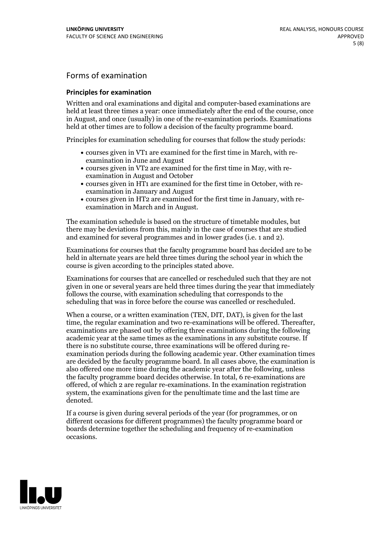## Forms of examination

#### **Principles for examination**

Written and oral examinations and digital and computer-based examinations are held at least three times a year: once immediately after the end of the course, once in August, and once (usually) in one of the re-examination periods. Examinations held at other times are to follow a decision of the faculty programme board.

Principles for examination scheduling for courses that follow the study periods:

- courses given in VT1 are examined for the first time in March, with re-examination in June and August
- courses given in VT2 are examined for the first time in May, with re-examination in August and October
- courses given in HT1 are examined for the first time in October, with re-examination in January and August
- courses given in HT2 are examined for the first time in January, with re-examination in March and in August.

The examination schedule is based on the structure of timetable modules, but there may be deviations from this, mainly in the case of courses that are studied and examined for several programmes and in lower grades (i.e. 1 and 2).

Examinations for courses that the faculty programme board has decided are to be held in alternate years are held three times during the school year in which the course is given according to the principles stated above.

Examinations for courses that are cancelled orrescheduled such that they are not given in one or several years are held three times during the year that immediately follows the course, with examination scheduling that corresponds to the scheduling that was in force before the course was cancelled or rescheduled.

When a course, or a written examination (TEN, DIT, DAT), is given for the last time, the regular examination and two re-examinations will be offered. Thereafter, examinations are phased out by offering three examinations during the following academic year at the same times as the examinations in any substitute course. If there is no substitute course, three examinations will be offered during re- examination periods during the following academic year. Other examination times are decided by the faculty programme board. In all cases above, the examination is also offered one more time during the academic year after the following, unless the faculty programme board decides otherwise. In total, 6 re-examinations are offered, of which 2 are regular re-examinations. In the examination registration system, the examinations given for the penultimate time and the last time are denoted.

If a course is given during several periods of the year (for programmes, or on different occasions for different programmes) the faculty programme board or boards determine together the scheduling and frequency of re-examination occasions.

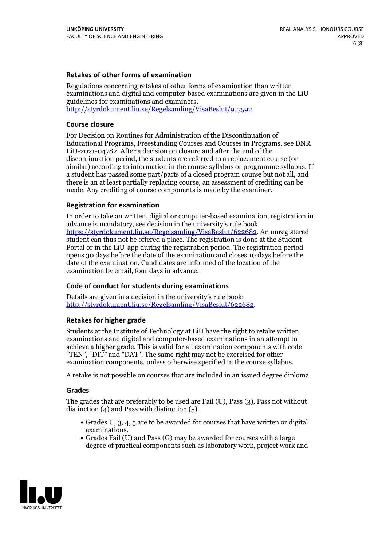### **Retakes of other forms of examination**

Regulations concerning retakes of other forms of examination than written examinations and digital and computer-based examinations are given in the LiU guidelines for examinations and examiners, [http://styrdokument.liu.se/Regelsamling/VisaBeslut/917592.](http://styrdokument.liu.se/Regelsamling/VisaBeslut/917592)

#### **Course closure**

For Decision on Routines for Administration of the Discontinuation of Educational Programs, Freestanding Courses and Courses in Programs, see DNR LiU-2021-04782. After a decision on closure and after the end of the discontinuation period, the students are referred to a replacement course (or similar) according to information in the course syllabus or programme syllabus. If a student has passed some part/parts of a closed program course but not all, and there is an at least partially replacing course, an assessment of crediting can be made. Any crediting of course components is made by the examiner.

### **Registration for examination**

In order to take an written, digital or computer-based examination, registration in advance is mandatory, see decision in the university's rule book [https://styrdokument.liu.se/Regelsamling/VisaBeslut/622682.](https://styrdokument.liu.se/Regelsamling/VisaBeslut/622682) An unregistered student can thus not be offered a place. The registration is done at the Student Portal or in the LiU-app during the registration period. The registration period opens 30 days before the date of the examination and closes 10 days before the date of the examination. Candidates are informed of the location of the examination by email, four days in advance.

### **Code of conduct for students during examinations**

Details are given in a decision in the university's rule book: <http://styrdokument.liu.se/Regelsamling/VisaBeslut/622682>.

#### **Retakes for higher grade**

Students at the Institute of Technology at LiU have the right to retake written examinations and digital and computer-based examinations in an attempt to achieve a higher grade. This is valid for all examination components with code "TEN", "DIT" and "DAT". The same right may not be exercised for other examination components, unless otherwise specified in the course syllabus.

A retake is not possible on courses that are included in an issued degree diploma.

#### **Grades**

The grades that are preferably to be used are Fail (U), Pass (3), Pass not without distinction  $(4)$  and Pass with distinction  $(5)$ .

- Grades U, 3, 4, 5 are to be awarded for courses that have written or digital examinations.<br>• Grades Fail (U) and Pass (G) may be awarded for courses with a large
- degree of practical components such as laboratory work, project work and

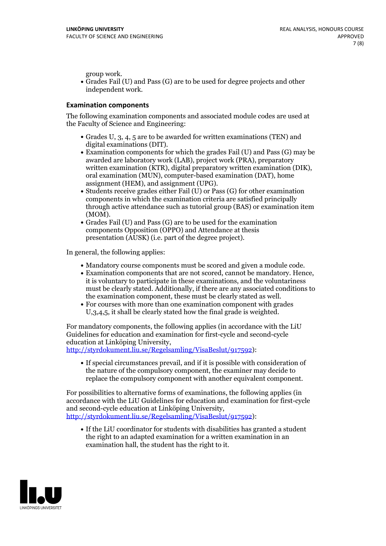group work.<br>• Grades Fail (U) and Pass (G) are to be used for degree projects and other independent work.

### **Examination components**

The following examination components and associated module codes are used at the Faculty of Science and Engineering:

- Grades U, 3, 4, 5 are to be awarded for written examinations (TEN) and
- digital examinations (DIT).<br>• Examination components for which the grades Fail (U) and Pass (G) may be awarded are laboratory work (LAB), project work (PRA), preparatory written examination (KTR), digital preparatory written examination (DIK), oral examination (MUN), computer-based examination (DAT), home
- assignment (HEM), and assignment (UPG).<br>• Students receive grades either Fail (U) or Pass (G) for other examination components in which the examination criteria are satisfied principally through active attendance such as tutorial group (BAS) or examination item
- (MOM).<br>• Grades Fail (U) and Pass (G) are to be used for the examination components Opposition (OPPO) and Attendance at thesis presentation (AUSK) (i.e. part of the degree project).

In general, the following applies:

- 
- Mandatory course components must be scored and given <sup>a</sup> module code. Examination components that are not scored, cannot be mandatory. Hence, it is voluntary to participate in these examinations, and the voluntariness must be clearly stated. Additionally, if there are any associated conditions to
- the examination component, these must be clearly stated as well.<br>• For courses with more than one examination component with grades U,3,4,5, it shall be clearly stated how the final grade is weighted.

For mandatory components, the following applies (in accordance with the LiU Guidelines for education and examination for first-cycle and second-cycle education at Linköping University,<br>[http://styrdokument.liu.se/Regelsamling/VisaBeslut/917592\)](http://styrdokument.liu.se/Regelsamling/VisaBeslut/917592):

If special circumstances prevail, and if it is possible with consideration of the nature of the compulsory component, the examiner may decide to replace the compulsory component with another equivalent component.

For possibilities to alternative forms of examinations, the following applies (in accordance with the LiU Guidelines for education and examination for first-cycle [http://styrdokument.liu.se/Regelsamling/VisaBeslut/917592\)](http://styrdokument.liu.se/Regelsamling/VisaBeslut/917592):

If the LiU coordinator for students with disabilities has granted a student the right to an adapted examination for a written examination in an examination hall, the student has the right to it.